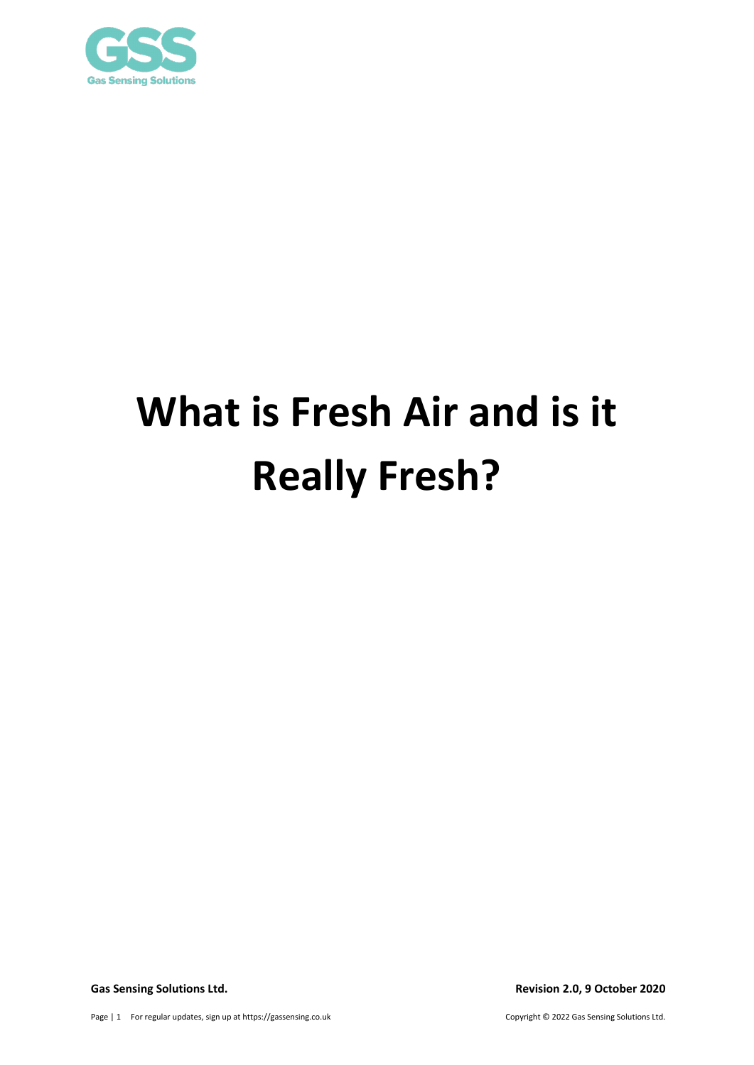

# **What is Fresh Air and is it Really Fresh?**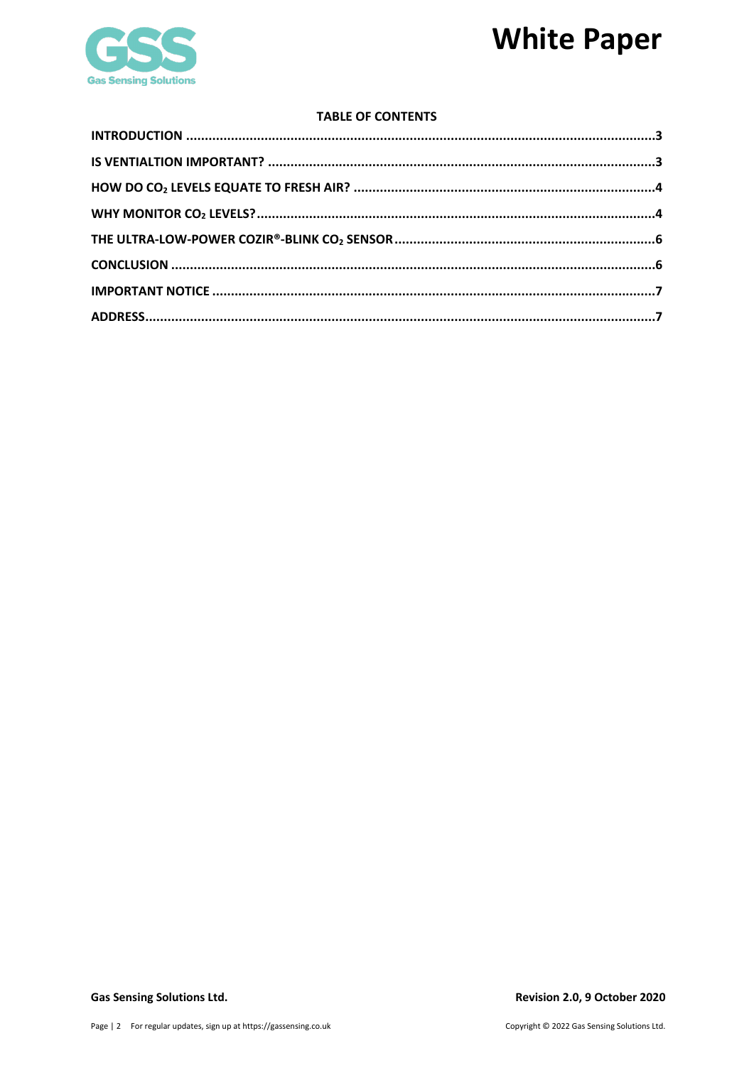## **White Paper**



## **TABLE OF CONTENTS**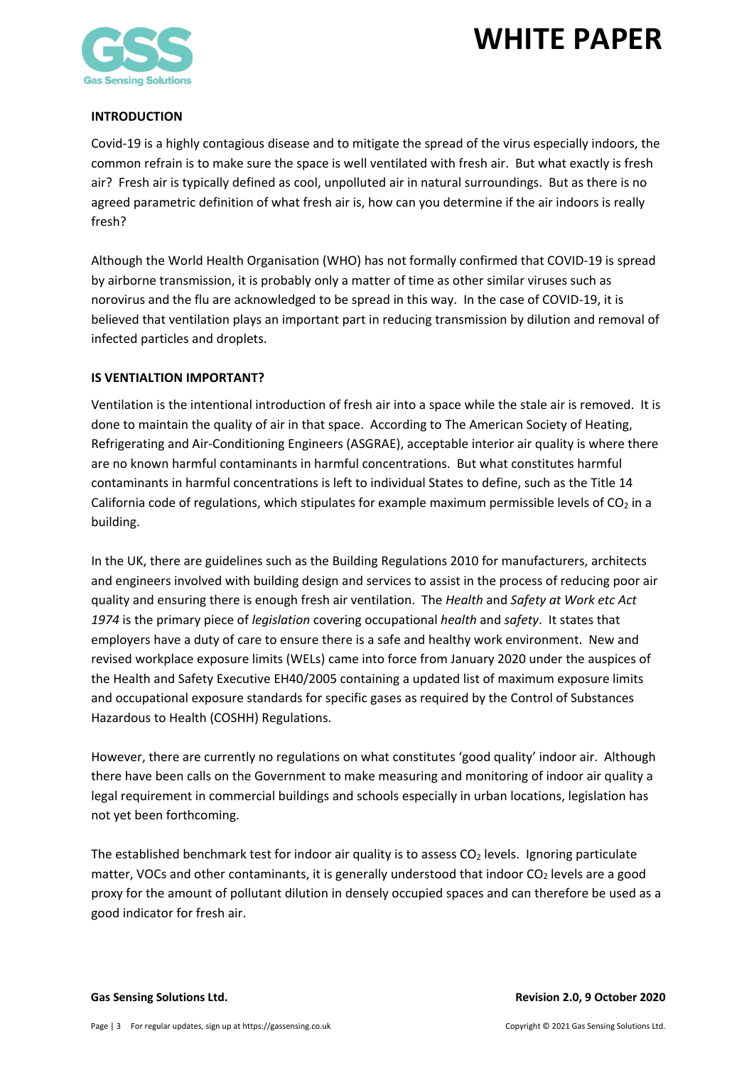

## <span id="page-2-0"></span>**INTRODUCTION**

Covid-19 is a highly contagious disease and to mitigate the spread of the virus especially indoors, the common refrain is to make sure the space is well ventilated with fresh air. But what exactly is fresh air? Fresh air is typically defined as cool, unpolluted air in natural surroundings. But as there is no agreed parametric definition of what fresh air is, how can you determine if the air indoors is really fresh?

Although the World Health Organisation (WHO) has not formally confirmed that COVID-19 is spread by airborne transmission, it is probably only a matter of time as other similar viruses such as norovirus and the flu are acknowledged to be spread in this way. In the case of COVID-19, it is believed that ventilation plays an important part in reducing transmission by dilution and removal of infected particles and droplets.

## <span id="page-2-1"></span>**IS VENTIALTION IMPORTANT?**

Ventilation is the intentional introduction of fresh air into a space while the stale air is removed. It is done to maintain the quality of air in that space. According to The American Society of Heating, Refrigerating and Air-Conditioning Engineers (ASGRAE), acceptable interior air quality is where there are no known harmful contaminants in harmful concentrations. But what constitutes harmful contaminants in harmful concentrations is left to individual States to define, such as the Title 14 California code of regulations, which stipulates for example maximum permissible levels of  $CO<sub>2</sub>$  in a building.

In the UK, there are guidelines such as the Building Regulations 2010 for manufacturers, architects and engineers involved with building design and services to assist in the process of reducing poor air quality and ensuring there is enough fresh air ventilation. The *Health* and *Safety at Work etc Act 1974* is the primary piece of *legislation* covering occupational *health* and *safety*. It states that employers have a duty of care to ensure there is a safe and healthy work environment. New and revised workplace exposure limits (WELs) came into force from January 2020 under the auspices of the Health and Safety Executive EH40/2005 containing a updated list of maximum exposure limits and occupational exposure standards for specific gases as required by the Control of Substances Hazardous to Health (COSHH) Regulations.

However, there are currently no regulations on what constitutes 'good quality' indoor air. Although there have been calls on the Government to make measuring and monitoring of indoor air quality a legal requirement in commercial buildings and schools especially in urban locations, legislation has not yet been forthcoming.

The established benchmark test for indoor air quality is to assess  $CO<sub>2</sub>$  levels. Ignoring particulate matter, VOCs and other contaminants, it is generally understood that indoor  $CO<sub>2</sub>$  levels are a good proxy for the amount of pollutant dilution in densely occupied spaces and can therefore be used as a good indicator for fresh air.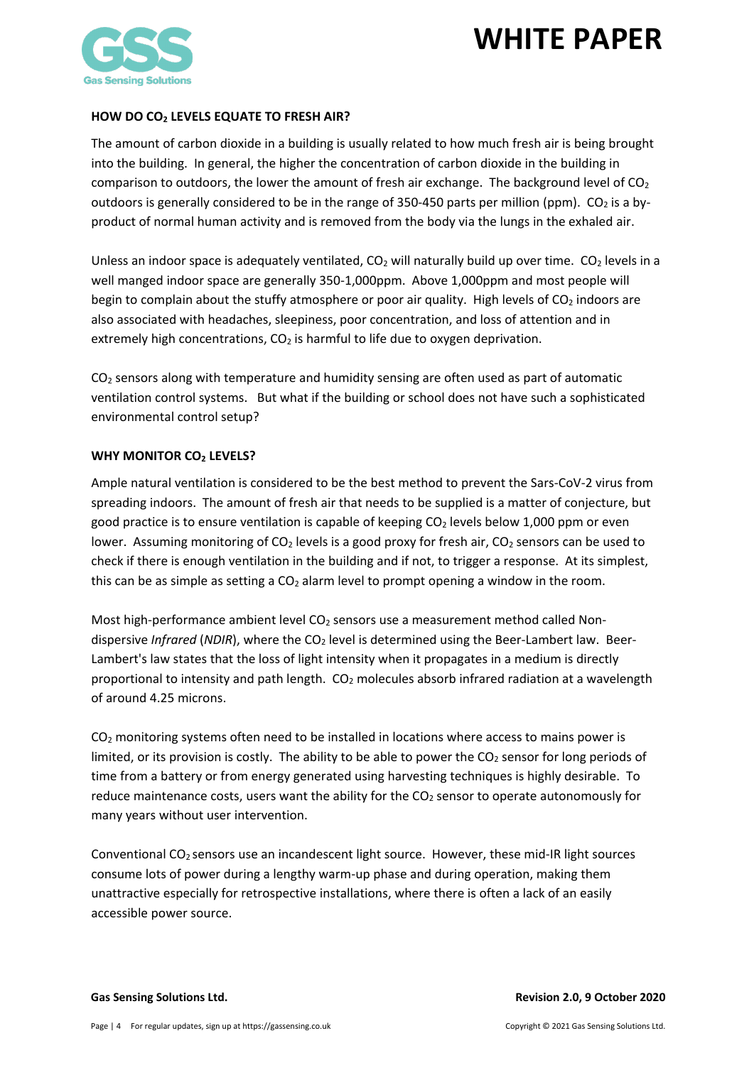

## <span id="page-3-0"></span>**HOW DO CO2 LEVELS EQUATE TO FRESH AIR?**

The amount of carbon dioxide in a building is usually related to how much fresh air is being brought into the building. In general, the higher the concentration of carbon dioxide in the building in comparison to outdoors, the lower the amount of fresh air exchange. The background level of  $CO<sub>2</sub>$ outdoors is generally considered to be in the range of 350-450 parts per million (ppm). CO<sub>2</sub> is a byproduct of normal human activity and is removed from the body via the lungs in the exhaled air.

Unless an indoor space is adequately ventilated,  $CO<sub>2</sub>$  will naturally build up over time.  $CO<sub>2</sub>$  levels in a well manged indoor space are generally 350-1,000ppm. Above 1,000ppm and most people will begin to complain about the stuffy atmosphere or poor air quality. High levels of  $CO<sub>2</sub>$  indoors are also associated with headaches, sleepiness, poor concentration, and loss of attention and in extremely high concentrations,  $CO<sub>2</sub>$  is harmful to life due to oxygen deprivation.

 $CO<sub>2</sub>$  sensors along with temperature and humidity sensing are often used as part of automatic ventilation control systems. But what if the building or school does not have such a sophisticated environmental control setup?

## <span id="page-3-1"></span>**WHY MONITOR CO2 LEVELS?**

Ample natural ventilation is considered to be the best method to prevent the Sars-CoV-2 virus from spreading indoors. The amount of fresh air that needs to be supplied is a matter of conjecture, but good practice is to ensure ventilation is capable of keeping  $CO<sub>2</sub>$  levels below 1,000 ppm or even lower. Assuming monitoring of  $CO<sub>2</sub>$  levels is a good proxy for fresh air,  $CO<sub>2</sub>$  sensors can be used to check if there is enough ventilation in the building and if not, to trigger a response. At its simplest, this can be as simple as setting a  $CO<sub>2</sub>$  alarm level to prompt opening a window in the room.

Most high-performance ambient level  $CO<sub>2</sub>$  sensors use a measurement method called Nondispersive *Infrared* (*NDIR*), where the CO<sub>2</sub> level is determined using the Beer-Lambert law. Beer-Lambert's law states that the loss of light intensity when it propagates in a medium is directly proportional to intensity and path length. CO2 molecules absorb infrared radiation at a wavelength of around 4.25 microns.

 $CO<sub>2</sub>$  monitoring systems often need to be installed in locations where access to mains power is limited, or its provision is costly. The ability to be able to power the  $CO<sub>2</sub>$  sensor for long periods of time from a battery or from energy generated using harvesting techniques is highly desirable. To reduce maintenance costs, users want the ability for the CO<sub>2</sub> sensor to operate autonomously for many years without user intervention.

Conventional  $CO<sub>2</sub>$  sensors use an incandescent light source. However, these mid-IR light sources consume lots of power during a lengthy warm-up phase and during operation, making them unattractive especially for retrospective installations, where there is often a lack of an easily accessible power source.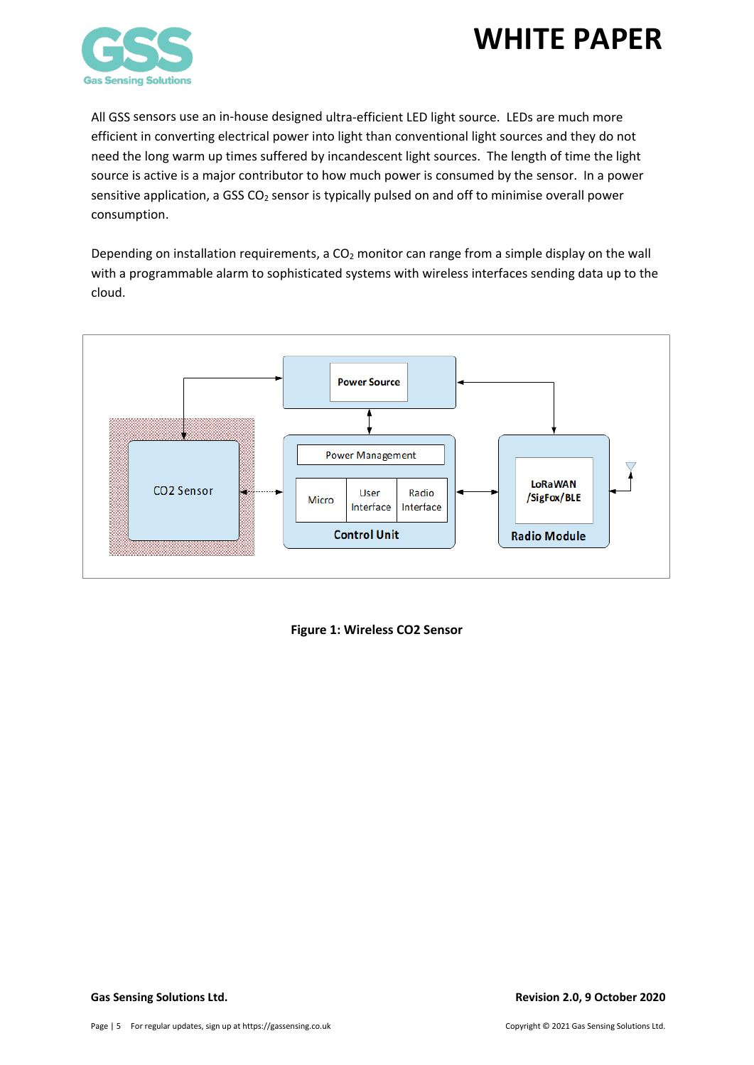

All GSS sensors use an in-house designed ultra-efficient LED light source. LEDs are much more efficient in converting electrical power into light than conventional light sources and they do not need the long warm up times suffered by incandescent light sources. The length of time the light source is active is a major contributor to how much power is consumed by the sensor. In a power sensitive application, a GSS CO<sub>2</sub> sensor is typically pulsed on and off to minimise overall power consumption.

Depending on installation requirements, a  $CO<sub>2</sub>$  monitor can range from a simple display on the wall with a programmable alarm to sophisticated systems with wireless interfaces sending data up to the cloud.



**Figure 1: Wireless CO2 Sensor**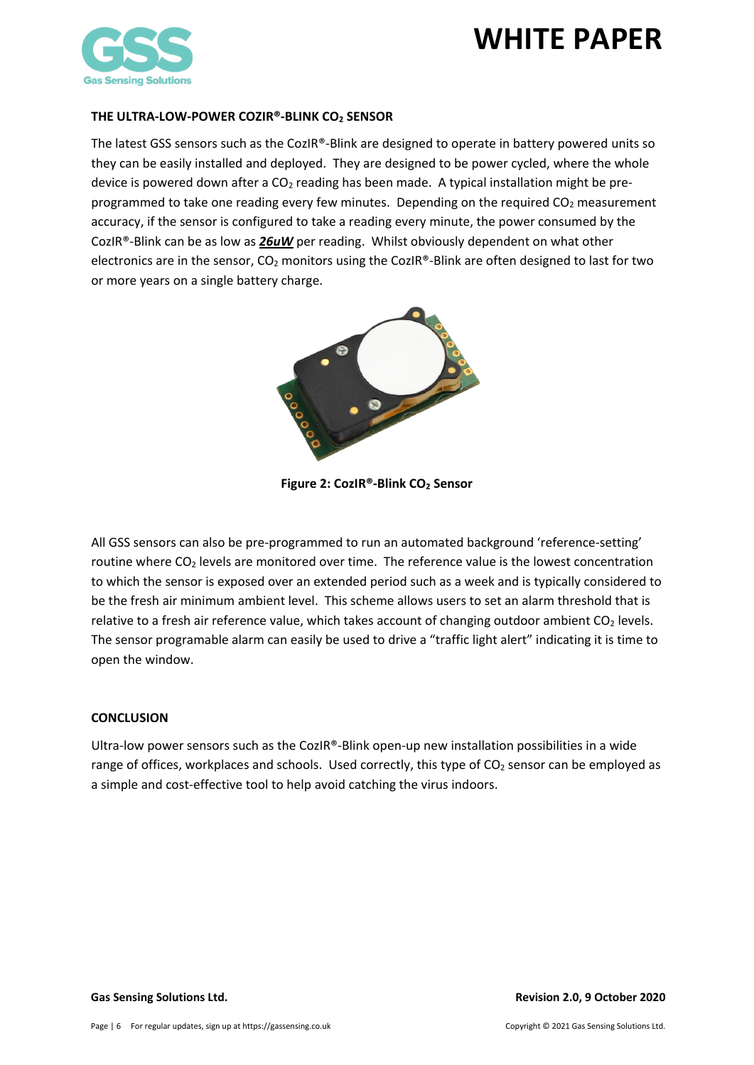

### <span id="page-5-0"></span>**THE ULTRA-LOW-POWER COZIR®-BLINK CO2 SENSOR**

The latest GSS sensors such as the CozIR®-Blink are designed to operate in battery powered units so they can be easily installed and deployed. They are designed to be power cycled, where the whole device is powered down after a  $CO<sub>2</sub>$  reading has been made. A typical installation might be preprogrammed to take one reading every few minutes. Depending on the required  $CO<sub>2</sub>$  measurement accuracy, if the sensor is configured to take a reading every minute, the power consumed by the CozIR®-Blink can be as low as *26uW* per reading. Whilst obviously dependent on what other electronics are in the sensor,  $CO<sub>2</sub>$  monitors using the CozIR®-Blink are often designed to last for two or more years on a single battery charge.



**Figure 2: CozIR®-Blink CO2 Sensor**

All GSS sensors can also be pre-programmed to run an automated background 'reference-setting' routine where CO<sub>2</sub> levels are monitored over time. The reference value is the lowest concentration to which the sensor is exposed over an extended period such as a week and is typically considered to be the fresh air minimum ambient level. This scheme allows users to set an alarm threshold that is relative to a fresh air reference value, which takes account of changing outdoor ambient  $CO<sub>2</sub>$  levels. The sensor programable alarm can easily be used to drive a "traffic light alert" indicating it is time to open the window.

### <span id="page-5-1"></span>**CONCLUSION**

Ultra-low power sensors such as the CozIR®-Blink open-up new installation possibilities in a wide range of offices, workplaces and schools. Used correctly, this type of CO<sub>2</sub> sensor can be employed as a simple and cost-effective tool to help avoid catching the virus indoors.